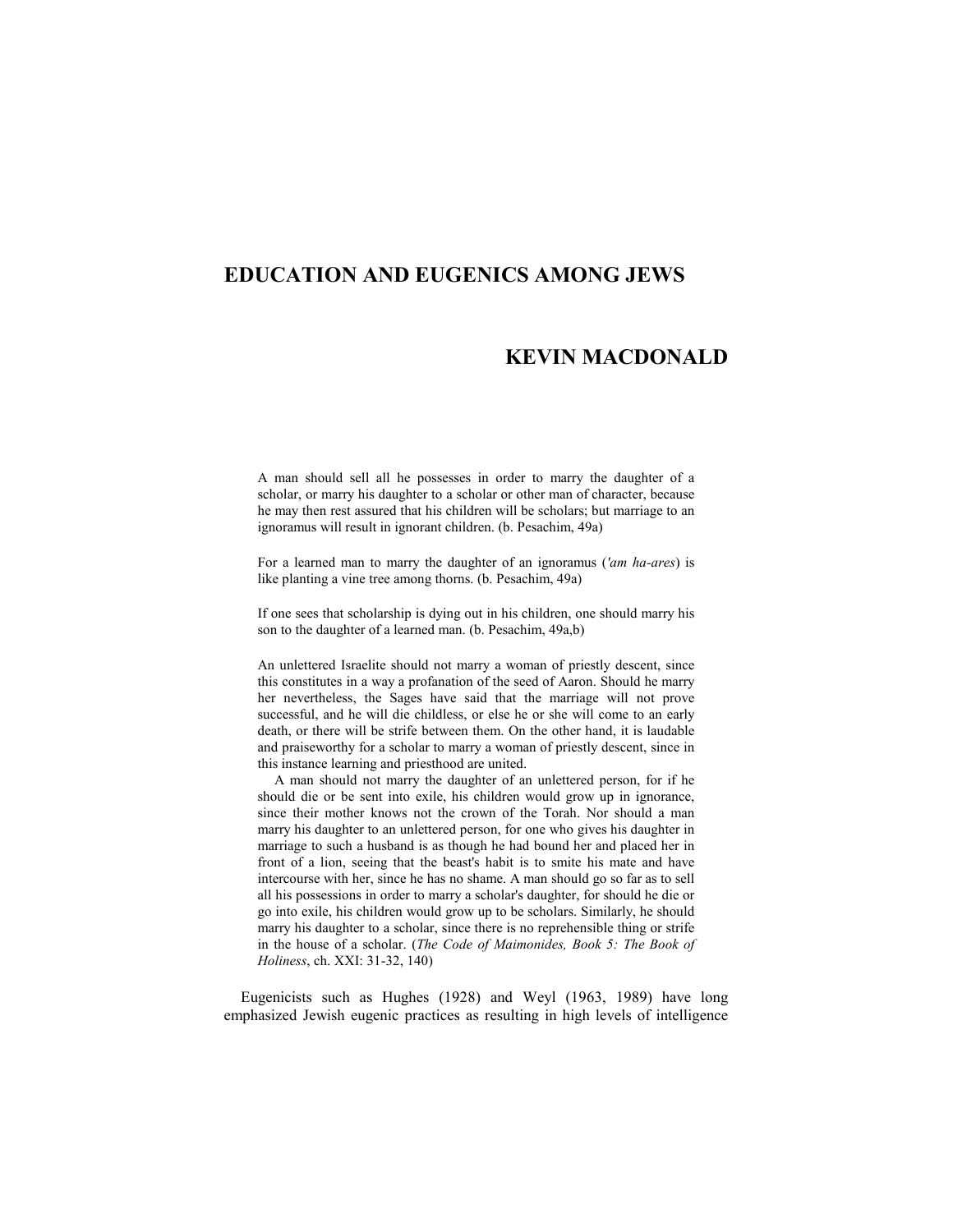## **EDUCATION AND EUGENICS AMONG JEWS**

## **KEVIN MACDONALD**

A man should sell all he possesses in order to marry the daughter of a scholar, or marry his daughter to a scholar or other man of character, because he may then rest assured that his children will be scholars; but marriage to an ignoramus will result in ignorant children. (b. Pesachim, 49a)

For a learned man to marry the daughter of an ignoramus (*'am ha-ares*) is like planting a vine tree among thorns. (b. Pesachim, 49a)

If one sees that scholarship is dying out in his children, one should marry his son to the daughter of a learned man. (b. Pesachim, 49a,b)

An unlettered Israelite should not marry a woman of priestly descent, since this constitutes in a way a profanation of the seed of Aaron. Should he marry her nevertheless, the Sages have said that the marriage will not prove successful, and he will die childless, or else he or she will come to an early death, or there will be strife between them. On the other hand, it is laudable and praiseworthy for a scholar to marry a woman of priestly descent, since in this instance learning and priesthood are united.

A man should not marry the daughter of an unlettered person, for if he should die or be sent into exile, his children would grow up in ignorance, since their mother knows not the crown of the Torah. Nor should a man marry his daughter to an unlettered person, for one who gives his daughter in marriage to such a husband is as though he had bound her and placed her in front of a lion, seeing that the beast's habit is to smite his mate and have intercourse with her, since he has no shame. A man should go so far as to sell all his possessions in order to marry a scholar's daughter, for should he die or go into exile, his children would grow up to be scholars. Similarly, he should marry his daughter to a scholar, since there is no reprehensible thing or strife in the house of a scholar. (*The Code of Maimonides, Book 5: The Book of Holiness*, ch. XXI: 31-32, 140)

Eugenicists such as Hughes (1928) and Weyl (1963, 1989) have long emphasized Jewish eugenic practices as resulting in high levels of intelligence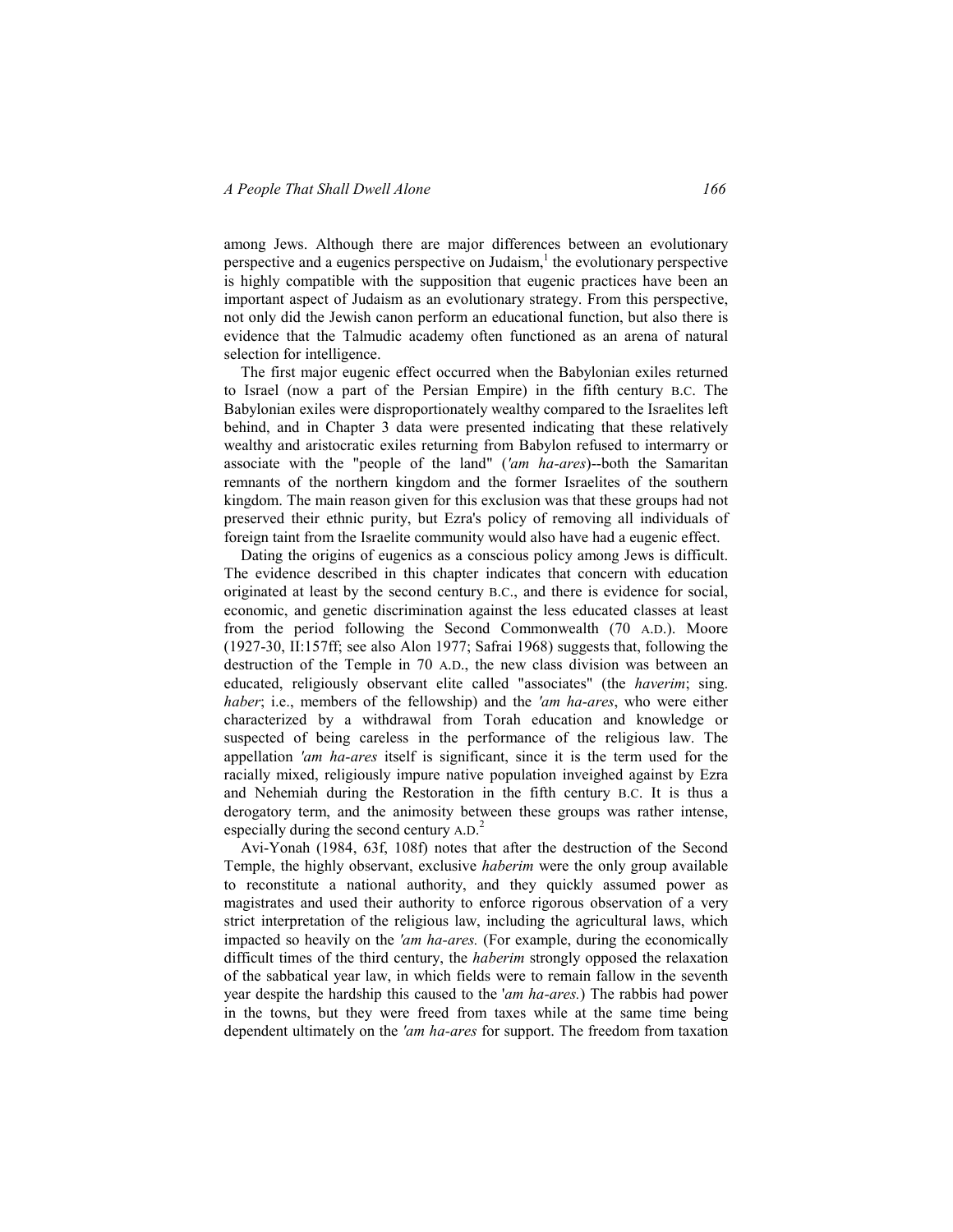among Jews. Although there are major differences between an evolutionary perspective and a eugenics perspective on Judaism,<sup>1</sup> the evolutionary perspective is highly compatible with the supposition that eugenic practices have been an important aspect of Judaism as an evolutionary strategy. From this perspective, not only did the Jewish canon perform an educational function, but also there is evidence that the Talmudic academy often functioned as an arena of natural selection for intelligence.

The first major eugenic effect occurred when the Babylonian exiles returned to Israel (now a part of the Persian Empire) in the fifth century B.C. The Babylonian exiles were disproportionately wealthy compared to the Israelites left behind, and in Chapter 3 data were presented indicating that these relatively wealthy and aristocratic exiles returning from Babylon refused to intermarry or associate with the "people of the land" (*'am ha-ares*)--both the Samaritan remnants of the northern kingdom and the former Israelites of the southern kingdom. The main reason given for this exclusion was that these groups had not preserved their ethnic purity, but Ezra's policy of removing all individuals of foreign taint from the Israelite community would also have had a eugenic effect.

Dating the origins of eugenics as a conscious policy among Jews is difficult. The evidence described in this chapter indicates that concern with education originated at least by the second century B.C., and there is evidence for social, economic, and genetic discrimination against the less educated classes at least from the period following the Second Commonwealth (70 A.D.). Moore (1927-30, II:157ff; see also Alon 1977; Safrai 1968) suggests that, following the destruction of the Temple in 70 A.D., the new class division was between an educated, religiously observant elite called "associates" (the *haverim*; sing. *haber*; i.e., members of the fellowship) and the *'am ha-ares*, who were either characterized by a withdrawal from Torah education and knowledge or suspected of being careless in the performance of the religious law. The appellation *'am ha-ares* itself is significant, since it is the term used for the racially mixed, religiously impure native population inveighed against by Ezra and Nehemiah during the Restoration in the fifth century B.C. It is thus a derogatory term, and the animosity between these groups was rather intense, especially during the second century A.D.<sup>2</sup>

Avi-Yonah (1984, 63f, 108f) notes that after the destruction of the Second Temple, the highly observant, exclusive *haberim* were the only group available to reconstitute a national authority, and they quickly assumed power as magistrates and used their authority to enforce rigorous observation of a very strict interpretation of the religious law, including the agricultural laws, which impacted so heavily on the *'am ha-ares.* (For example, during the economically difficult times of the third century, the *haberim* strongly opposed the relaxation of the sabbatical year law, in which fields were to remain fallow in the seventh year despite the hardship this caused to the '*am ha-ares.*) The rabbis had power in the towns, but they were freed from taxes while at the same time being dependent ultimately on the *'am ha-ares* for support. The freedom from taxation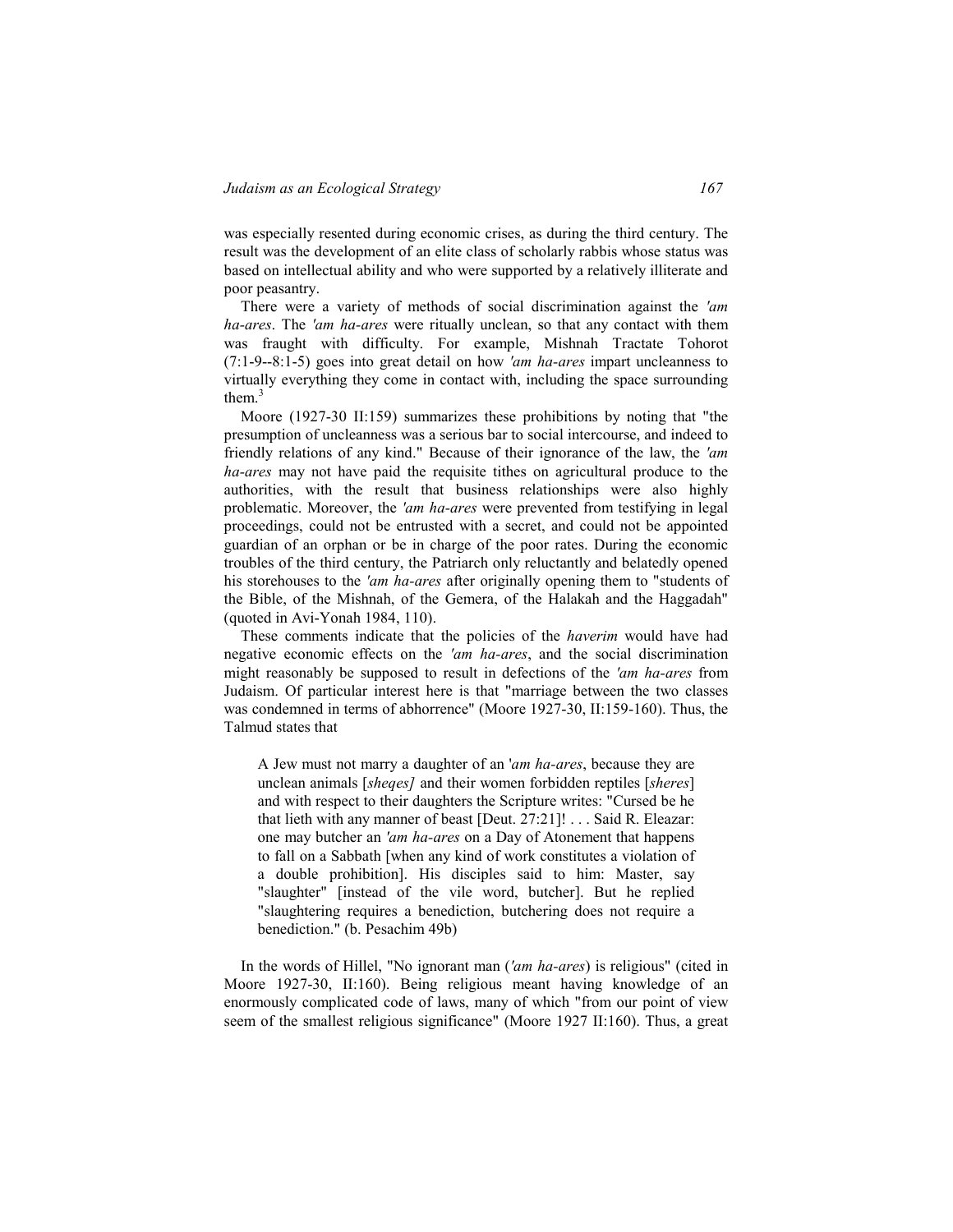was especially resented during economic crises, as during the third century. The result was the development of an elite class of scholarly rabbis whose status was based on intellectual ability and who were supported by a relatively illiterate and poor peasantry.

There were a variety of methods of social discrimination against the *'am ha-ares*. The *'am ha-ares* were ritually unclean, so that any contact with them was fraught with difficulty. For example, Mishnah Tractate Tohorot (7:1-9--8:1-5) goes into great detail on how *'am ha-ares* impart uncleanness to virtually everything they come in contact with, including the space surrounding them. $\delta$ 

Moore (1927-30 II:159) summarizes these prohibitions by noting that "the presumption of uncleanness was a serious bar to social intercourse, and indeed to friendly relations of any kind." Because of their ignorance of the law, the *'am ha-ares* may not have paid the requisite tithes on agricultural produce to the authorities, with the result that business relationships were also highly problematic. Moreover, the *'am ha-ares* were prevented from testifying in legal proceedings, could not be entrusted with a secret, and could not be appointed guardian of an orphan or be in charge of the poor rates. During the economic troubles of the third century, the Patriarch only reluctantly and belatedly opened his storehouses to the *'am ha-ares* after originally opening them to "students of the Bible, of the Mishnah, of the Gemera, of the Halakah and the Haggadah" (quoted in Avi-Yonah 1984, 110).

These comments indicate that the policies of the *haverim* would have had negative economic effects on the *'am ha-ares*, and the social discrimination might reasonably be supposed to result in defections of the *'am ha-ares* from Judaism. Of particular interest here is that "marriage between the two classes was condemned in terms of abhorrence" (Moore 1927-30, II:159-160). Thus, the Talmud states that

A Jew must not marry a daughter of an '*am ha-ares*, because they are unclean animals [*sheqes]* and their women forbidden reptiles [*sheres*] and with respect to their daughters the Scripture writes: "Cursed be he that lieth with any manner of beast [Deut. 27:21]! . . . Said R. Eleazar: one may butcher an *'am ha-ares* on a Day of Atonement that happens to fall on a Sabbath [when any kind of work constitutes a violation of a double prohibition]. His disciples said to him: Master, say "slaughter" [instead of the vile word, butcher]. But he replied "slaughtering requires a benediction, butchering does not require a benediction." (b. Pesachim 49b)

In the words of Hillel, "No ignorant man (*'am ha-ares*) is religious" (cited in Moore 1927-30, II:160). Being religious meant having knowledge of an enormously complicated code of laws, many of which "from our point of view seem of the smallest religious significance" (Moore 1927 II:160). Thus, a great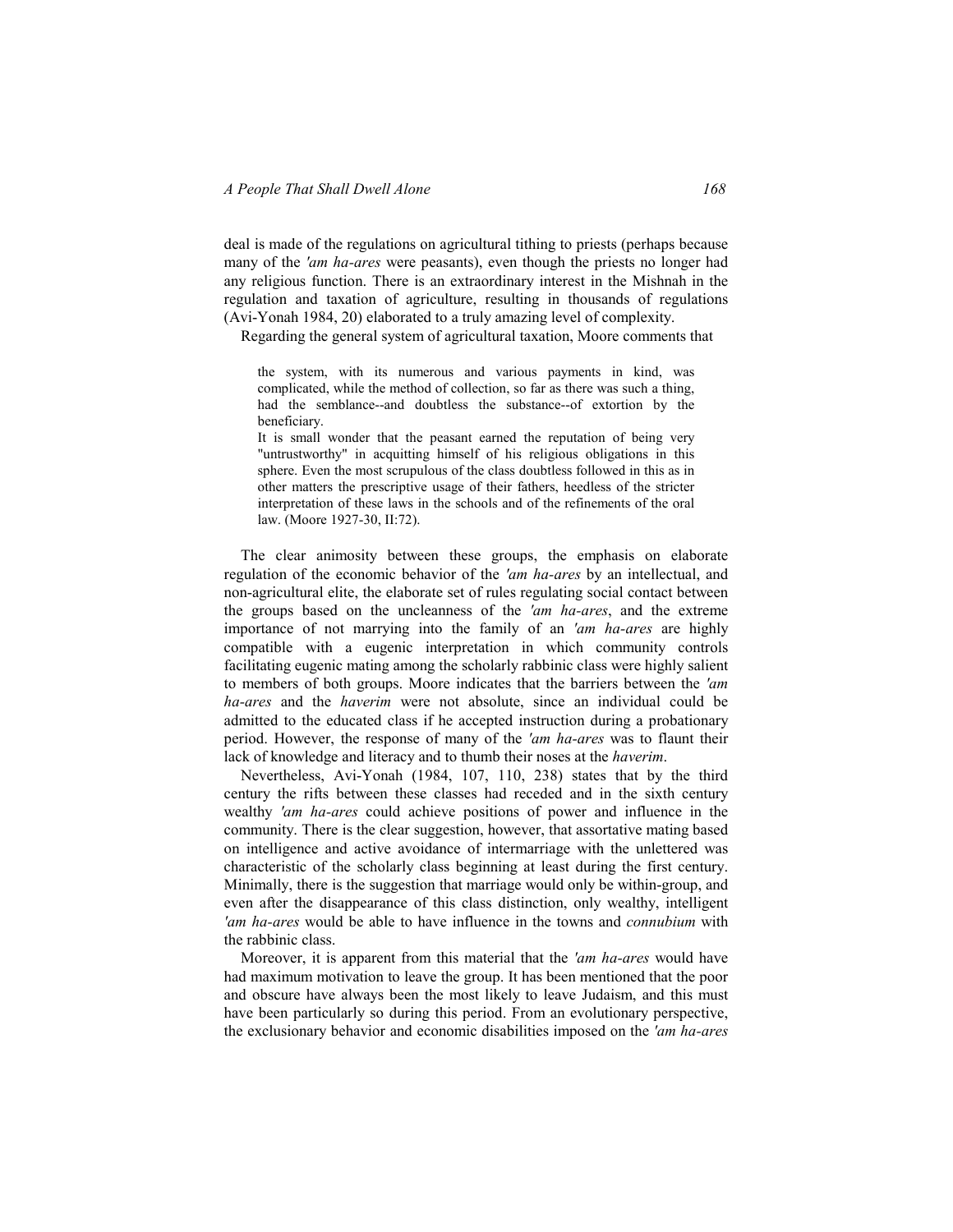deal is made of the regulations on agricultural tithing to priests (perhaps because many of the *'am ha-ares* were peasants), even though the priests no longer had any religious function. There is an extraordinary interest in the Mishnah in the regulation and taxation of agriculture, resulting in thousands of regulations (Avi-Yonah 1984, 20) elaborated to a truly amazing level of complexity.

Regarding the general system of agricultural taxation, Moore comments that

the system, with its numerous and various payments in kind, was complicated, while the method of collection, so far as there was such a thing, had the semblance--and doubtless the substance--of extortion by the beneficiary.

It is small wonder that the peasant earned the reputation of being very "untrustworthy" in acquitting himself of his religious obligations in this sphere. Even the most scrupulous of the class doubtless followed in this as in other matters the prescriptive usage of their fathers, heedless of the stricter interpretation of these laws in the schools and of the refinements of the oral law. (Moore 1927-30, II:72).

The clear animosity between these groups, the emphasis on elaborate regulation of the economic behavior of the *'am ha-ares* by an intellectual, and non-agricultural elite, the elaborate set of rules regulating social contact between the groups based on the uncleanness of the *'am ha-ares*, and the extreme importance of not marrying into the family of an *'am ha-ares* are highly compatible with a eugenic interpretation in which community controls facilitating eugenic mating among the scholarly rabbinic class were highly salient to members of both groups. Moore indicates that the barriers between the *'am ha-ares* and the *haverim* were not absolute, since an individual could be admitted to the educated class if he accepted instruction during a probationary period. However, the response of many of the *'am ha-ares* was to flaunt their lack of knowledge and literacy and to thumb their noses at the *haverim*.

Nevertheless, Avi-Yonah (1984, 107, 110, 238) states that by the third century the rifts between these classes had receded and in the sixth century wealthy *'am ha-ares* could achieve positions of power and influence in the community. There is the clear suggestion, however, that assortative mating based on intelligence and active avoidance of intermarriage with the unlettered was characteristic of the scholarly class beginning at least during the first century. Minimally, there is the suggestion that marriage would only be within-group, and even after the disappearance of this class distinction, only wealthy, intelligent *'am ha-ares* would be able to have influence in the towns and *connubium* with the rabbinic class.

Moreover, it is apparent from this material that the *'am ha-ares* would have had maximum motivation to leave the group. It has been mentioned that the poor and obscure have always been the most likely to leave Judaism, and this must have been particularly so during this period. From an evolutionary perspective, the exclusionary behavior and economic disabilities imposed on the *'am ha-ares*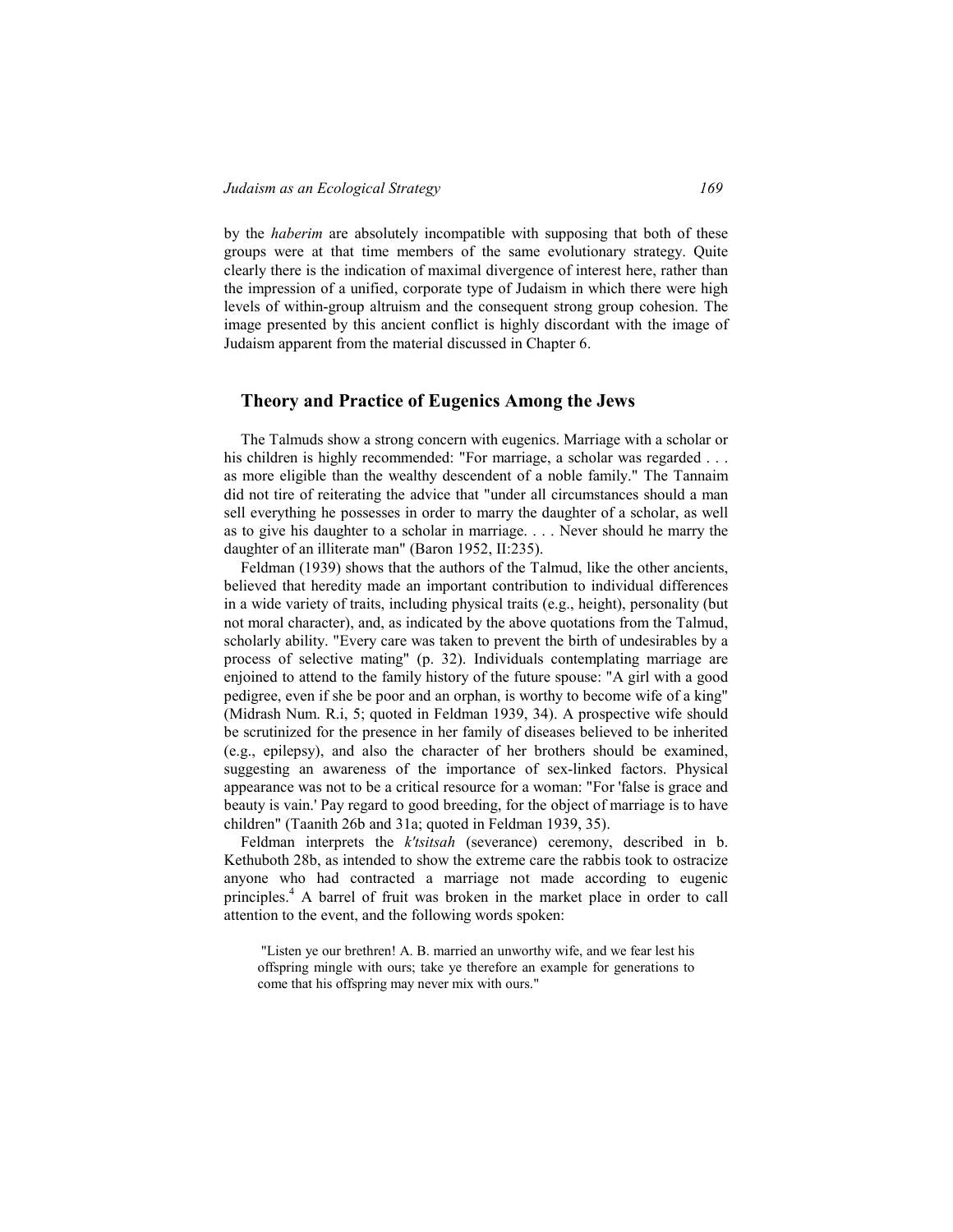by the *haberim* are absolutely incompatible with supposing that both of these groups were at that time members of the same evolutionary strategy. Quite clearly there is the indication of maximal divergence of interest here, rather than the impression of a unified, corporate type of Judaism in which there were high levels of within-group altruism and the consequent strong group cohesion. The image presented by this ancient conflict is highly discordant with the image of Judaism apparent from the material discussed in Chapter 6.

## **Theory and Practice of Eugenics Among the Jews**

The Talmuds show a strong concern with eugenics. Marriage with a scholar or his children is highly recommended: "For marriage, a scholar was regarded . . . as more eligible than the wealthy descendent of a noble family." The Tannaim did not tire of reiterating the advice that "under all circumstances should a man sell everything he possesses in order to marry the daughter of a scholar, as well as to give his daughter to a scholar in marriage. . . . Never should he marry the daughter of an illiterate man" (Baron 1952, II:235).

Feldman (1939) shows that the authors of the Talmud, like the other ancients, believed that heredity made an important contribution to individual differences in a wide variety of traits, including physical traits (e.g., height), personality (but not moral character), and, as indicated by the above quotations from the Talmud, scholarly ability. "Every care was taken to prevent the birth of undesirables by a process of selective mating" (p. 32). Individuals contemplating marriage are enjoined to attend to the family history of the future spouse: "A girl with a good pedigree, even if she be poor and an orphan, is worthy to become wife of a king" (Midrash Num. R.i, 5; quoted in Feldman 1939, 34). A prospective wife should be scrutinized for the presence in her family of diseases believed to be inherited (e.g., epilepsy), and also the character of her brothers should be examined, suggesting an awareness of the importance of sex-linked factors. Physical appearance was not to be a critical resource for a woman: "For 'false is grace and beauty is vain.' Pay regard to good breeding, for the object of marriage is to have children" (Taanith 26b and 31a; quoted in Feldman 1939, 35).

Feldman interprets the *k'tsitsah* (severance) ceremony, described in b. Kethuboth 28b, as intended to show the extreme care the rabbis took to ostracize anyone who had contracted a marriage not made according to eugenic principles.<sup>4</sup> A barrel of fruit was broken in the market place in order to call attention to the event, and the following words spoken:

"Listen ye our brethren! A. B. married an unworthy wife, and we fear lest his offspring mingle with ours; take ye therefore an example for generations to come that his offspring may never mix with ours."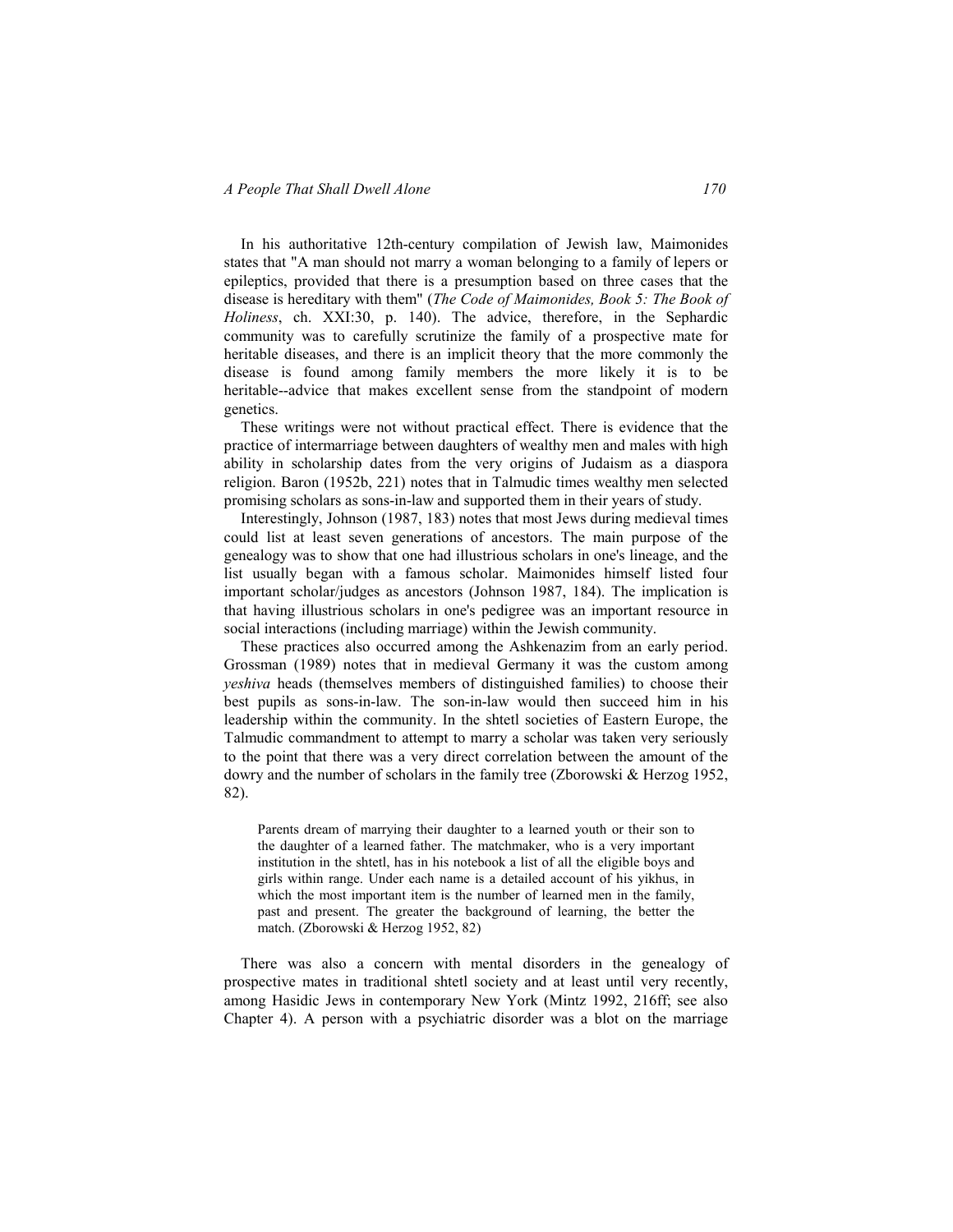In his authoritative 12th-century compilation of Jewish law, Maimonides states that "A man should not marry a woman belonging to a family of lepers or epileptics, provided that there is a presumption based on three cases that the disease is hereditary with them" (*The Code of Maimonides, Book 5: The Book of Holiness*, ch. XXI:30, p. 140). The advice, therefore, in the Sephardic community was to carefully scrutinize the family of a prospective mate for heritable diseases, and there is an implicit theory that the more commonly the disease is found among family members the more likely it is to be heritable--advice that makes excellent sense from the standpoint of modern genetics.

These writings were not without practical effect. There is evidence that the practice of intermarriage between daughters of wealthy men and males with high ability in scholarship dates from the very origins of Judaism as a diaspora religion. Baron (1952b, 221) notes that in Talmudic times wealthy men selected promising scholars as sons-in-law and supported them in their years of study.

Interestingly, Johnson (1987, 183) notes that most Jews during medieval times could list at least seven generations of ancestors. The main purpose of the genealogy was to show that one had illustrious scholars in one's lineage, and the list usually began with a famous scholar. Maimonides himself listed four important scholar/judges as ancestors (Johnson 1987, 184). The implication is that having illustrious scholars in one's pedigree was an important resource in social interactions (including marriage) within the Jewish community.

These practices also occurred among the Ashkenazim from an early period. Grossman (1989) notes that in medieval Germany it was the custom among *yeshiva* heads (themselves members of distinguished families) to choose their best pupils as sons-in-law. The son-in-law would then succeed him in his leadership within the community. In the shtetl societies of Eastern Europe, the Talmudic commandment to attempt to marry a scholar was taken very seriously to the point that there was a very direct correlation between the amount of the dowry and the number of scholars in the family tree (Zborowski & Herzog 1952, 82).

Parents dream of marrying their daughter to a learned youth or their son to the daughter of a learned father. The matchmaker, who is a very important institution in the shtetl, has in his notebook a list of all the eligible boys and girls within range. Under each name is a detailed account of his yikhus, in which the most important item is the number of learned men in the family, past and present. The greater the background of learning, the better the match. (Zborowski & Herzog 1952, 82)

There was also a concern with mental disorders in the genealogy of prospective mates in traditional shtetl society and at least until very recently, among Hasidic Jews in contemporary New York (Mintz 1992, 216ff; see also Chapter 4). A person with a psychiatric disorder was a blot on the marriage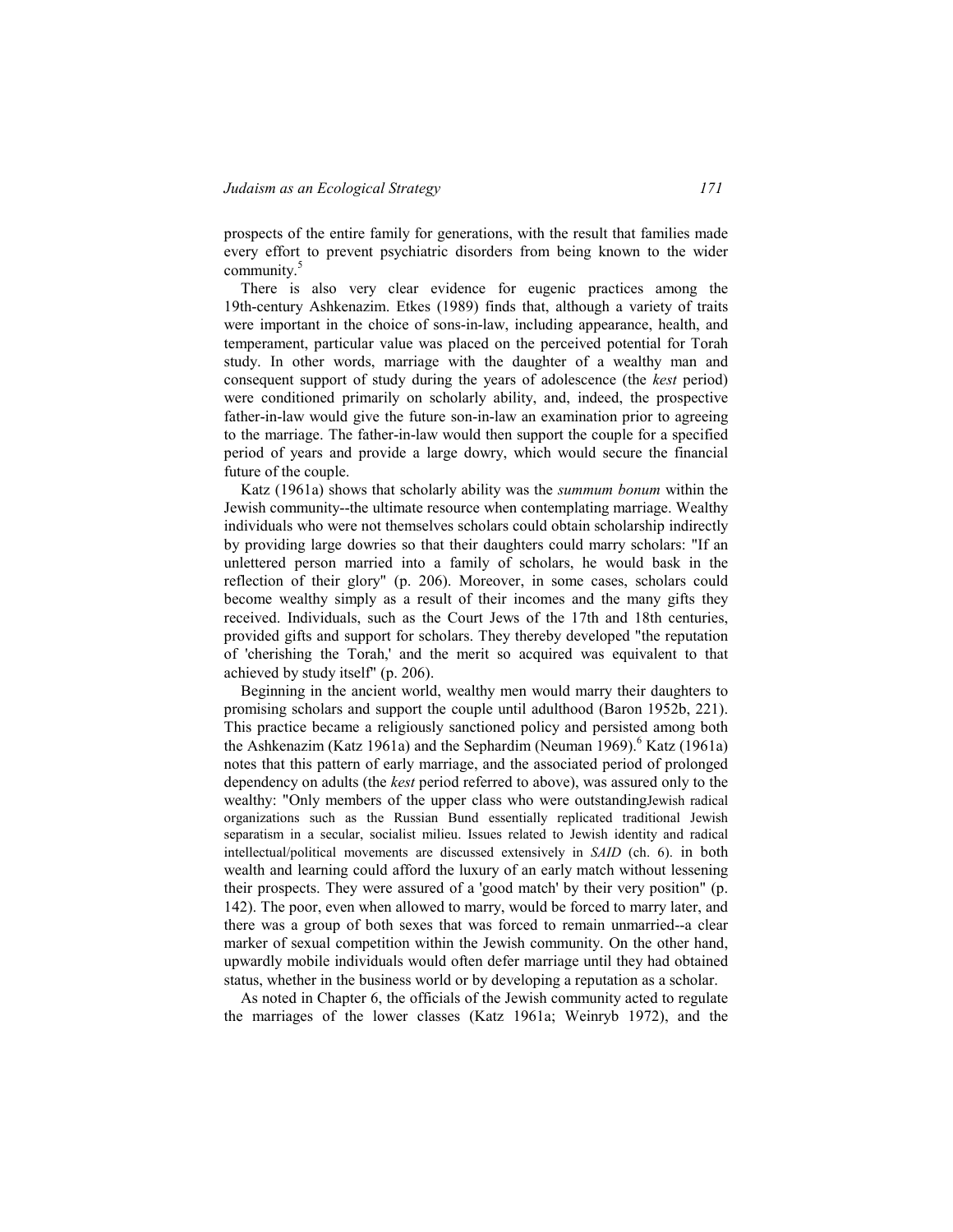prospects of the entire family for generations, with the result that families made every effort to prevent psychiatric disorders from being known to the wider community.<sup>5</sup>

There is also very clear evidence for eugenic practices among the 19th-century Ashkenazim. Etkes (1989) finds that, although a variety of traits were important in the choice of sons-in-law, including appearance, health, and temperament, particular value was placed on the perceived potential for Torah study. In other words, marriage with the daughter of a wealthy man and consequent support of study during the years of adolescence (the *kest* period) were conditioned primarily on scholarly ability, and, indeed, the prospective father-in-law would give the future son-in-law an examination prior to agreeing to the marriage. The father-in-law would then support the couple for a specified period of years and provide a large dowry, which would secure the financial future of the couple.

Katz (1961a) shows that scholarly ability was the *summum bonum* within the Jewish community--the ultimate resource when contemplating marriage. Wealthy individuals who were not themselves scholars could obtain scholarship indirectly by providing large dowries so that their daughters could marry scholars: "If an unlettered person married into a family of scholars, he would bask in the reflection of their glory" (p. 206). Moreover, in some cases, scholars could become wealthy simply as a result of their incomes and the many gifts they received. Individuals, such as the Court Jews of the 17th and 18th centuries, provided gifts and support for scholars. They thereby developed "the reputation of 'cherishing the Torah,' and the merit so acquired was equivalent to that achieved by study itself" (p. 206).

Beginning in the ancient world, wealthy men would marry their daughters to promising scholars and support the couple until adulthood (Baron 1952b, 221). This practice became a religiously sanctioned policy and persisted among both the Ashkenazim (Katz 1961a) and the Sephardim (Neuman 1969). $6$  Katz (1961a) notes that this pattern of early marriage, and the associated period of prolonged dependency on adults (the *kest* period referred to above), was assured only to the wealthy: "Only members of the upper class who were outstandingJewish radical organizations such as the Russian Bund essentially replicated traditional Jewish separatism in a secular, socialist milieu. Issues related to Jewish identity and radical intellectual/political movements are discussed extensively in *SAID* (ch. 6). in both wealth and learning could afford the luxury of an early match without lessening their prospects. They were assured of a 'good match' by their very position" (p. 142). The poor, even when allowed to marry, would be forced to marry later, and there was a group of both sexes that was forced to remain unmarried--a clear marker of sexual competition within the Jewish community. On the other hand, upwardly mobile individuals would often defer marriage until they had obtained status, whether in the business world or by developing a reputation as a scholar.

As noted in Chapter 6, the officials of the Jewish community acted to regulate the marriages of the lower classes (Katz 1961a; Weinryb 1972), and the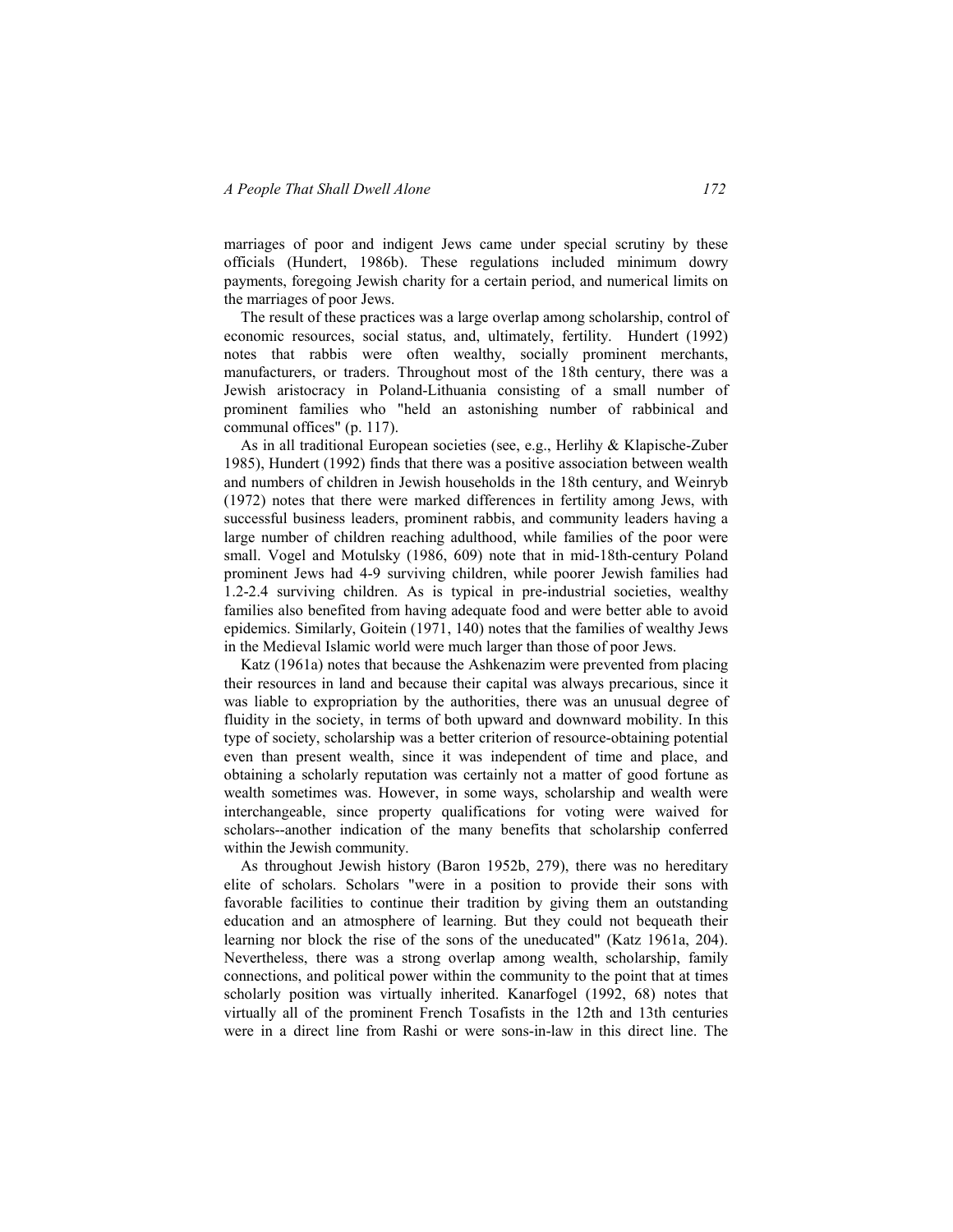marriages of poor and indigent Jews came under special scrutiny by these officials (Hundert, 1986b). These regulations included minimum dowry payments, foregoing Jewish charity for a certain period, and numerical limits on the marriages of poor Jews.

The result of these practices was a large overlap among scholarship, control of economic resources, social status, and, ultimately, fertility. Hundert (1992) notes that rabbis were often wealthy, socially prominent merchants, manufacturers, or traders. Throughout most of the 18th century, there was a Jewish aristocracy in Poland-Lithuania consisting of a small number of prominent families who "held an astonishing number of rabbinical and communal offices" (p. 117).

As in all traditional European societies (see, e.g., Herlihy & Klapische-Zuber 1985), Hundert (1992) finds that there was a positive association between wealth and numbers of children in Jewish households in the 18th century, and Weinryb (1972) notes that there were marked differences in fertility among Jews, with successful business leaders, prominent rabbis, and community leaders having a large number of children reaching adulthood, while families of the poor were small. Vogel and Motulsky (1986, 609) note that in mid-18th-century Poland prominent Jews had 4-9 surviving children, while poorer Jewish families had 1.2-2.4 surviving children. As is typical in pre-industrial societies, wealthy families also benefited from having adequate food and were better able to avoid epidemics. Similarly, Goitein (1971, 140) notes that the families of wealthy Jews in the Medieval Islamic world were much larger than those of poor Jews.

Katz (1961a) notes that because the Ashkenazim were prevented from placing their resources in land and because their capital was always precarious, since it was liable to expropriation by the authorities, there was an unusual degree of fluidity in the society, in terms of both upward and downward mobility. In this type of society, scholarship was a better criterion of resource-obtaining potential even than present wealth, since it was independent of time and place, and obtaining a scholarly reputation was certainly not a matter of good fortune as wealth sometimes was. However, in some ways, scholarship and wealth were interchangeable, since property qualifications for voting were waived for scholars--another indication of the many benefits that scholarship conferred within the Jewish community.

As throughout Jewish history (Baron 1952b, 279), there was no hereditary elite of scholars. Scholars "were in a position to provide their sons with favorable facilities to continue their tradition by giving them an outstanding education and an atmosphere of learning. But they could not bequeath their learning nor block the rise of the sons of the uneducated" (Katz 1961a, 204). Nevertheless, there was a strong overlap among wealth, scholarship, family connections, and political power within the community to the point that at times scholarly position was virtually inherited. Kanarfogel (1992, 68) notes that virtually all of the prominent French Tosafists in the 12th and 13th centuries were in a direct line from Rashi or were sons-in-law in this direct line. The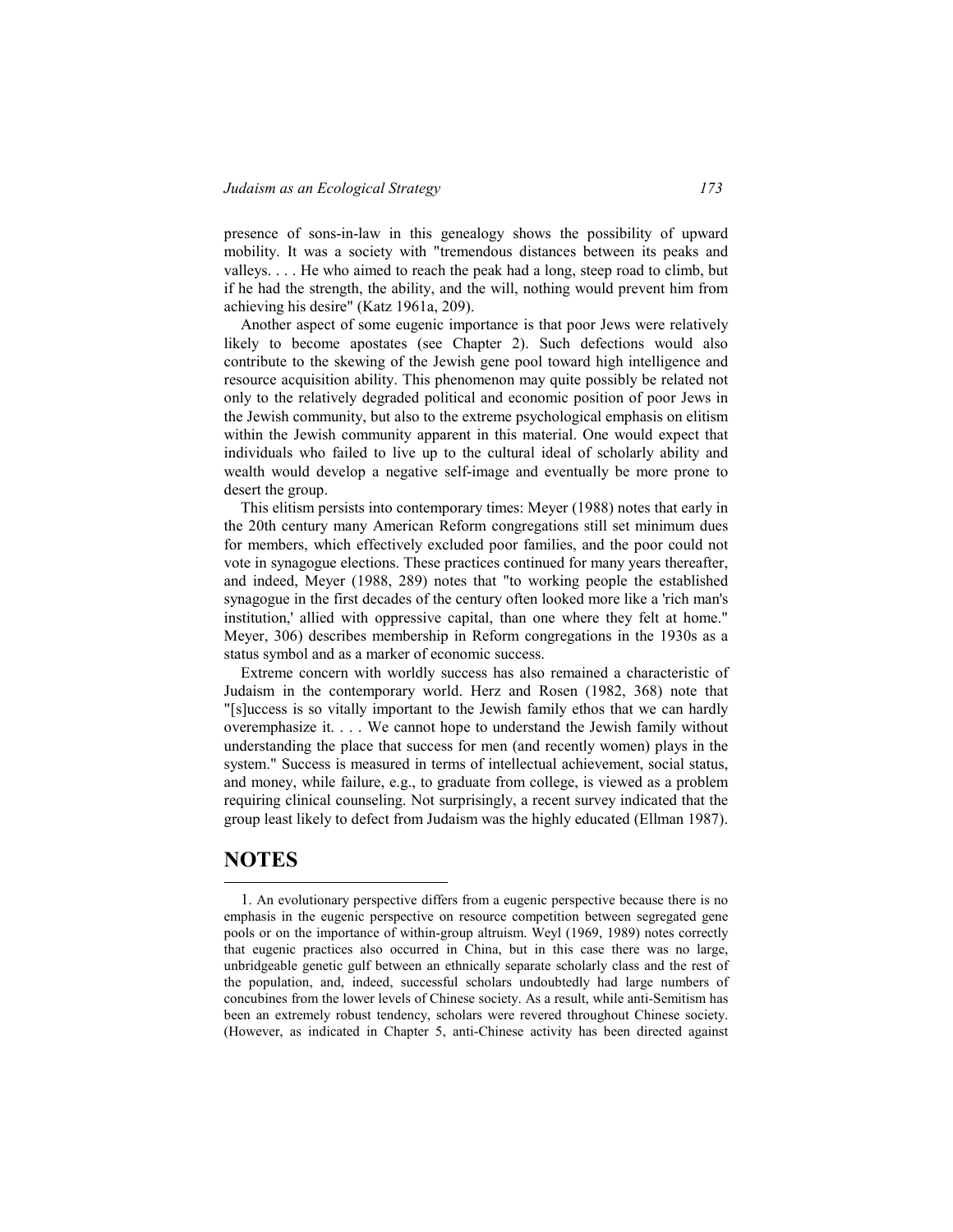presence of sons-in-law in this genealogy shows the possibility of upward mobility. It was a society with "tremendous distances between its peaks and valleys. . . . He who aimed to reach the peak had a long, steep road to climb, but if he had the strength, the ability, and the will, nothing would prevent him from achieving his desire" (Katz 1961a, 209).

Another aspect of some eugenic importance is that poor Jews were relatively likely to become apostates (see Chapter 2). Such defections would also contribute to the skewing of the Jewish gene pool toward high intelligence and resource acquisition ability. This phenomenon may quite possibly be related not only to the relatively degraded political and economic position of poor Jews in the Jewish community, but also to the extreme psychological emphasis on elitism within the Jewish community apparent in this material. One would expect that individuals who failed to live up to the cultural ideal of scholarly ability and wealth would develop a negative self-image and eventually be more prone to desert the group.

This elitism persists into contemporary times: Meyer (1988) notes that early in the 20th century many American Reform congregations still set minimum dues for members, which effectively excluded poor families, and the poor could not vote in synagogue elections. These practices continued for many years thereafter, and indeed, Meyer (1988, 289) notes that "to working people the established synagogue in the first decades of the century often looked more like a 'rich man's institution,' allied with oppressive capital, than one where they felt at home." Meyer, 306) describes membership in Reform congregations in the 1930s as a status symbol and as a marker of economic success.

Extreme concern with worldly success has also remained a characteristic of Judaism in the contemporary world. Herz and Rosen (1982, 368) note that "[s]uccess is so vitally important to the Jewish family ethos that we can hardly overemphasize it. . . . We cannot hope to understand the Jewish family without understanding the place that success for men (and recently women) plays in the system." Success is measured in terms of intellectual achievement, social status, and money, while failure, e.g., to graduate from college, is viewed as a problem requiring clinical counseling. Not surprisingly, a recent survey indicated that the group least likely to defect from Judaism was the highly educated (Ellman 1987).

## **NOTES**

<sup>1</sup>. An evolutionary perspective differs from a eugenic perspective because there is no emphasis in the eugenic perspective on resource competition between segregated gene pools or on the importance of within-group altruism. Weyl (1969, 1989) notes correctly that eugenic practices also occurred in China, but in this case there was no large, unbridgeable genetic gulf between an ethnically separate scholarly class and the rest of the population, and, indeed, successful scholars undoubtedly had large numbers of concubines from the lower levels of Chinese society. As a result, while anti-Semitism has been an extremely robust tendency, scholars were revered throughout Chinese society. (However, as indicated in Chapter 5, anti-Chinese activity has been directed against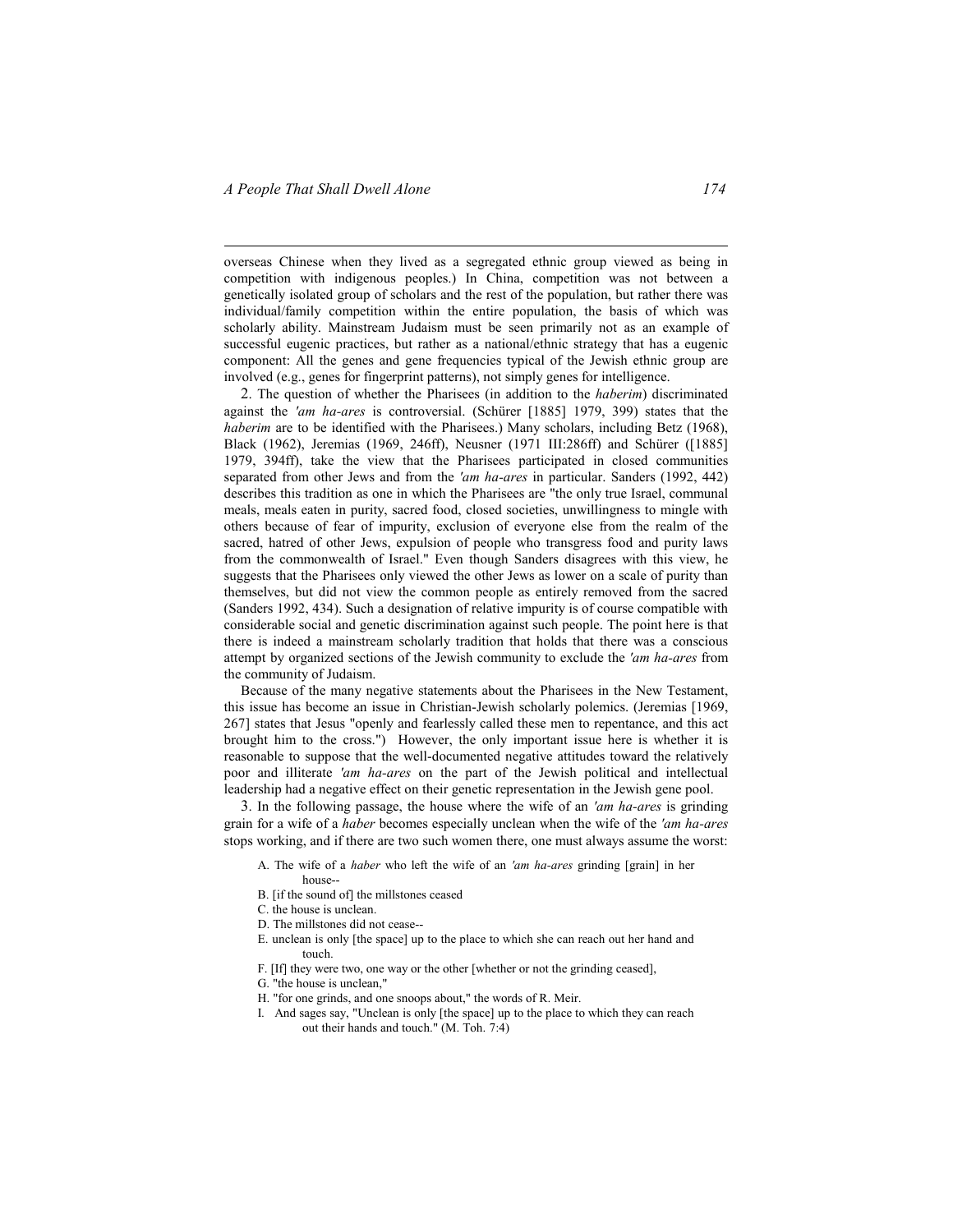overseas Chinese when they lived as a segregated ethnic group viewed as being in competition with indigenous peoples.) In China, competition was not between a genetically isolated group of scholars and the rest of the population, but rather there was individual/family competition within the entire population, the basis of which was scholarly ability. Mainstream Judaism must be seen primarily not as an example of successful eugenic practices, but rather as a national/ethnic strategy that has a eugenic component: All the genes and gene frequencies typical of the Jewish ethnic group are involved (e.g., genes for fingerprint patterns), not simply genes for intelligence.

2. The question of whether the Pharisees (in addition to the *haberim*) discriminated against the *'am ha-ares* is controversial. (Schürer [1885] 1979, 399) states that the *haberim* are to be identified with the Pharisees.) Many scholars, including Betz (1968), Black (1962), Jeremias (1969, 246ff), Neusner (1971 III:286ff) and Schürer ([1885] 1979, 394ff), take the view that the Pharisees participated in closed communities separated from other Jews and from the *'am ha-ares* in particular. Sanders (1992, 442) describes this tradition as one in which the Pharisees are "the only true Israel, communal meals, meals eaten in purity, sacred food, closed societies, unwillingness to mingle with others because of fear of impurity, exclusion of everyone else from the realm of the sacred, hatred of other Jews, expulsion of people who transgress food and purity laws from the commonwealth of Israel." Even though Sanders disagrees with this view, he suggests that the Pharisees only viewed the other Jews as lower on a scale of purity than themselves, but did not view the common people as entirely removed from the sacred (Sanders 1992, 434). Such a designation of relative impurity is of course compatible with considerable social and genetic discrimination against such people. The point here is that there is indeed a mainstream scholarly tradition that holds that there was a conscious attempt by organized sections of the Jewish community to exclude the *'am ha-ares* from the community of Judaism.

Because of the many negative statements about the Pharisees in the New Testament, this issue has become an issue in Christian-Jewish scholarly polemics. (Jeremias [1969, 267] states that Jesus "openly and fearlessly called these men to repentance, and this act brought him to the cross.") However, the only important issue here is whether it is reasonable to suppose that the well-documented negative attitudes toward the relatively poor and illiterate *'am ha-ares* on the part of the Jewish political and intellectual leadership had a negative effect on their genetic representation in the Jewish gene pool.

3. In the following passage, the house where the wife of an *'am ha-ares* is grinding grain for a wife of a *haber* becomes especially unclean when the wife of the *'am ha-ares* stops working, and if there are two such women there, one must always assume the worst:

- A. The wife of a *haber* who left the wife of an *'am ha-ares* grinding [grain] in her house--
- B. [if the sound of] the millstones ceased
- C. the house is unclean.
- D. The millstones did not cease--
- E. unclean is only [the space] up to the place to which she can reach out her hand and touch.
- F. [If] they were two, one way or the other [whether or not the grinding ceased],
- G. "the house is unclean,"
- H. "for one grinds, and one snoops about," the words of R. Meir.
- I. And sages say, "Unclean is only [the space] up to the place to which they can reach out their hands and touch." (M. Toh. 7:4)